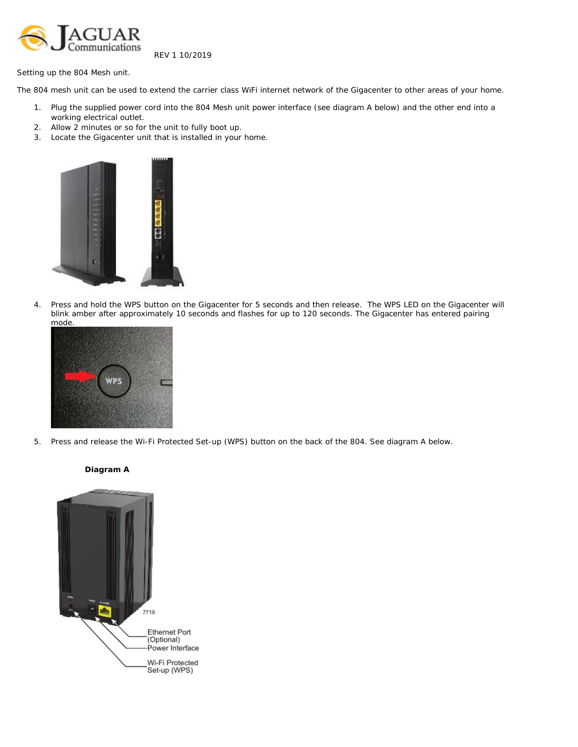

REV 1 10/2019

Setting up the 804 Mesh unit.

The 804 mesh unit can be used to extend the carrier class WiFi internet network of the Gigacenter to other areas of your home.

- 1. Plug the supplied power cord into the 804 Mesh unit power interface (see diagram A below) and the other end into a working electrical outlet.
- 2. Allow 2 minutes or so for the unit to fully boot up.
- 3. Locate the Gigacenter unit that is installed in your home.



4. Press and hold the WPS button on the Gigacenter for 5 seconds and then release. The WPS LED on the Gigacenter will blink amber after approximately 10 seconds and flashes for up to 120 seconds. The Gigacenter has entered pairing mode.



5. Press and release the Wi-Fi Protected Set-up (WPS) button on the back of the 804. See diagram A below.



## **Diagram A**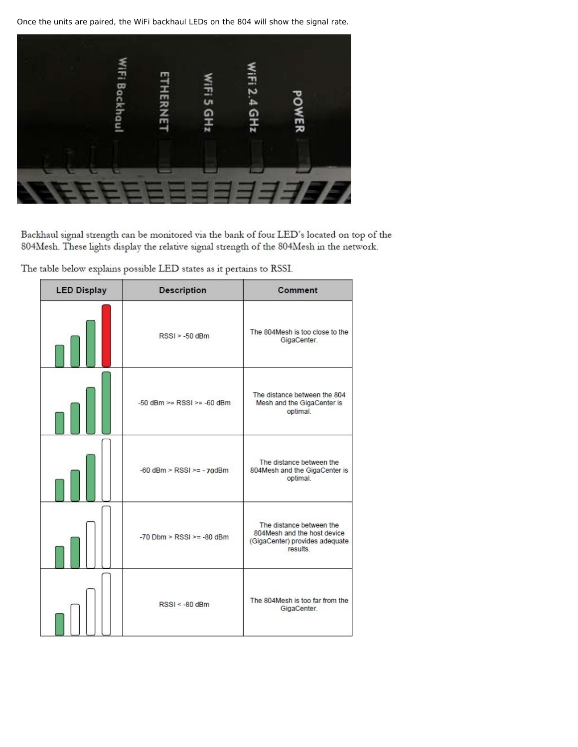Once the units are paired, the WiFi backhaul LEDs on the 804 will show the signal rate.



Backhaul signal strength can be monitored via the bank of four LED's located on top of the 804Mesh. These lights display the relative signal strength of the 804Mesh in the network.

The table below explains possible LED states as it pertains to RSSI.

| <b>LED Display</b> | <b>Description</b>               | Comment                                                                                              |
|--------------------|----------------------------------|------------------------------------------------------------------------------------------------------|
|                    | $RSSI > -50$ dBm                 | The 804Mesh is too close to the<br>GigaCenter.                                                       |
|                    | $-50$ dBm $>=$ RSSI $>=$ -60 dBm | The distance between the 804<br>Mesh and the GigaCenter is<br>optimal.                               |
|                    | $-60$ dBm > RSSI >= $-70$ dBm    | The distance between the<br>804Mesh and the GigaCenter is<br>optimal.                                |
|                    | $-70$ Dbm > RSSI >= $-80$ dBm    | The distance between the<br>804Mesh and the host device<br>(GigaCenter) provides adequate<br>results |
|                    | $RSSI < -80$ dBm                 | The 804Mesh is too far from the<br>GigaCenter.                                                       |